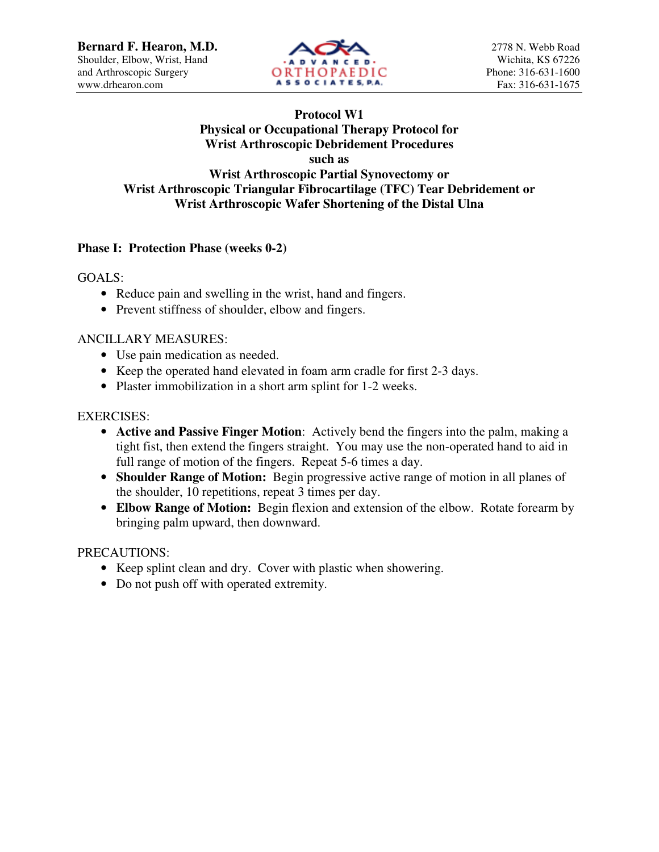

# **Protocol W1 Physical or Occupational Therapy Protocol for Wrist Arthroscopic Debridement Procedures such as Wrist Arthroscopic Partial Synovectomy or**

## **Wrist Arthroscopic Triangular Fibrocartilage (TFC) Tear Debridement or Wrist Arthroscopic Wafer Shortening of the Distal Ulna**

# **Phase I: Protection Phase (weeks 0-2)**

GOALS:

- Reduce pain and swelling in the wrist, hand and fingers.
- Prevent stiffness of shoulder, elbow and fingers.

#### ANCILLARY MEASURES:

- Use pain medication as needed.
- Keep the operated hand elevated in foam arm cradle for first 2-3 days.
- Plaster immobilization in a short arm splint for 1-2 weeks.

#### EXERCISES:

- **Active and Passive Finger Motion**: Actively bend the fingers into the palm, making a tight fist, then extend the fingers straight. You may use the non-operated hand to aid in full range of motion of the fingers. Repeat 5-6 times a day.
- **Shoulder Range of Motion:** Begin progressive active range of motion in all planes of the shoulder, 10 repetitions, repeat 3 times per day.
- **Elbow Range of Motion:** Begin flexion and extension of the elbow. Rotate forearm by bringing palm upward, then downward.

### PRECAUTIONS:

- Keep splint clean and dry. Cover with plastic when showering.
- Do not push off with operated extremity.